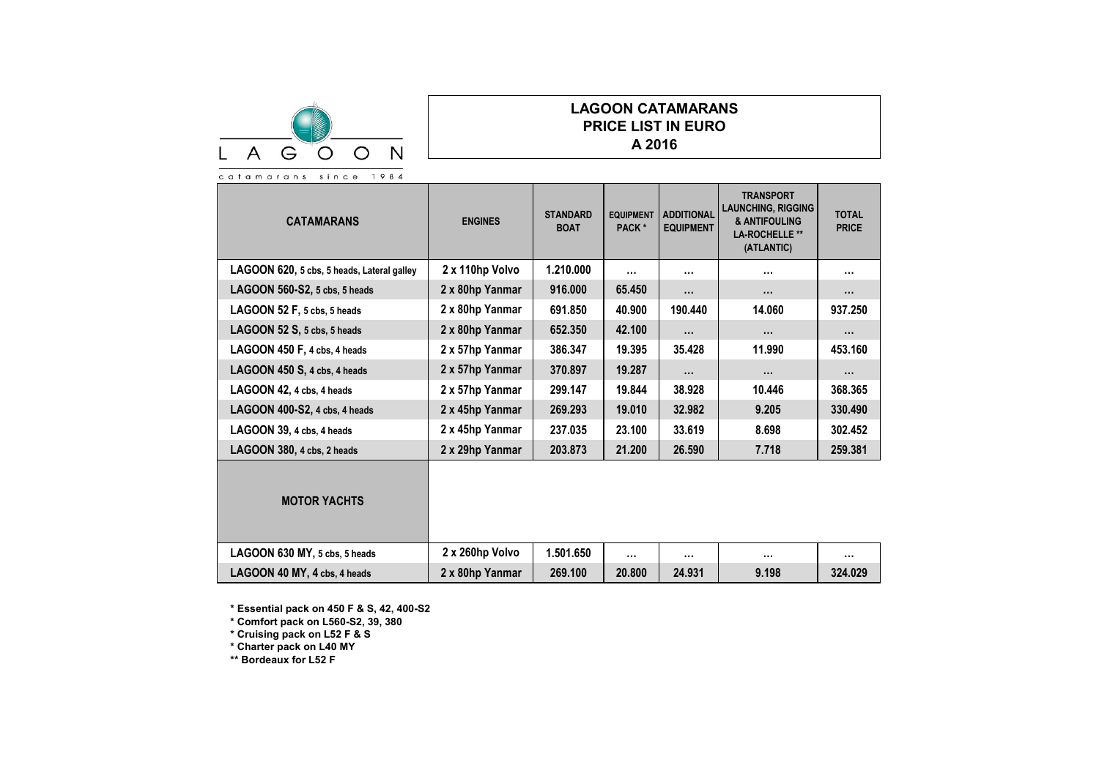

## **LAGOON CATAMARANS PRICE LIST IN EURO A 2016**

| <b>CATAMARANS</b>                          | <b>ENGINES</b>  | <b>STANDARD</b><br><b>BOAT</b> | <b>EQUIPMENT</b><br>PACK* | <b>ADDITIONAL</b><br><b>EQUIPMENT</b> | <b>TRANSPORT</b><br><b>LAUNCHING, RIGGING</b><br>& ANTIFOULING<br><b>LA-ROCHELLE **</b><br>(ATLANTIC) | <b>TOTAL</b><br><b>PRICE</b> |
|--------------------------------------------|-----------------|--------------------------------|---------------------------|---------------------------------------|-------------------------------------------------------------------------------------------------------|------------------------------|
| LAGOON 620, 5 cbs, 5 heads, Lateral galley | 2 x 110hp Volvo | 1.210.000                      | $\cdots$                  |                                       | $\cdots$                                                                                              |                              |
| LAGOON 560-S2, 5 cbs, 5 heads              | 2 x 80hp Yanmar | 916.000                        | 65.450                    | $\cdots$                              |                                                                                                       |                              |
| LAGOON 52 F, 5 cbs, 5 heads                | 2 x 80hp Yanmar | 691.850                        | 40.900                    | 190.440                               | 14.060                                                                                                | 937.250                      |
| LAGOON 52 S, 5 cbs, 5 heads                | 2 x 80hp Yanmar | 652.350                        | 42.100                    | .                                     | $\cdots$                                                                                              |                              |
| LAGOON 450 F, 4 cbs, 4 heads               | 2 x 57hp Yanmar | 386.347                        | 19.395                    | 35.428                                | 11.990                                                                                                | 453.160                      |
| LAGOON 450 S, 4 cbs, 4 heads               | 2 x 57hp Yanmar | 370.897                        | 19.287                    | $\cdots$                              |                                                                                                       |                              |
| LAGOON 42, 4 cbs, 4 heads                  | 2 x 57hp Yanmar | 299.147                        | 19.844                    | 38.928                                | 10.446                                                                                                | 368.365                      |
| LAGOON 400-S2, 4 cbs, 4 heads              | 2 x 45hp Yanmar | 269.293                        | 19.010                    | 32.982                                | 9.205                                                                                                 | 330.490                      |
| LAGOON 39, 4 cbs, 4 heads                  | 2 x 45hp Yanmar | 237.035                        | 23.100                    | 33.619                                | 8.698                                                                                                 | 302.452                      |
| LAGOON 380, 4 cbs, 2 heads                 | 2 x 29hp Yanmar | 203.873                        | 21.200                    | 26.590                                | 7.718                                                                                                 | 259.381                      |
| <b>MOTOR YACHTS</b>                        |                 |                                |                           |                                       |                                                                                                       |                              |
| LAGOON 630 MY, 5 cbs, 5 heads              | 2 x 260hp Volvo | 1.501.650                      | $\cdots$                  |                                       | $\cdots$                                                                                              |                              |
| LAGOON 40 MY, 4 cbs, 4 heads               | 2 x 80hp Yanmar | 269.100                        | 20,800                    | 24.931                                | 9.198                                                                                                 | 324.029                      |

**\* Essential pack on 450 F & S, 42, 400-S2**

**\* Comfort pack on L560-S2, 39, 380**

**\* Cruising pack on L52 F & S**

**\* Charter pack on L40 MY**

**\*\* Bordeaux for L52 F**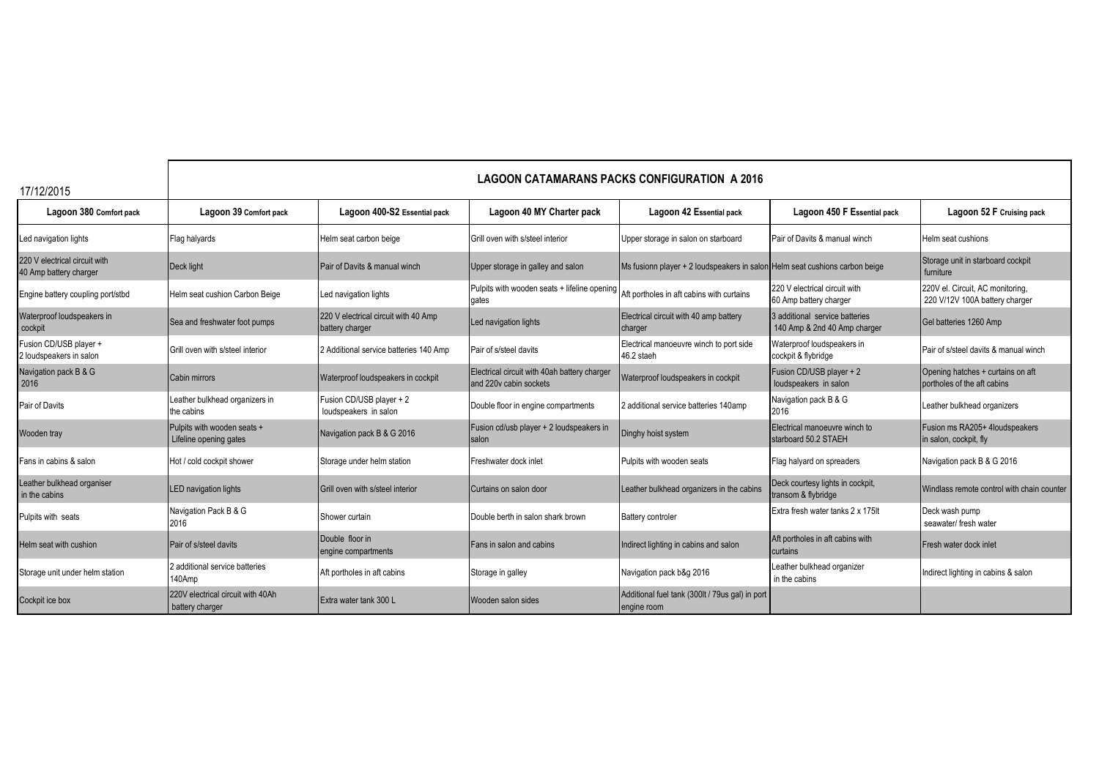|  | 17/12/2015 |  |
|--|------------|--|

## **LAGOON CATAMARANS PACKS CONFIGURATION A 2016**

| 17/12/2015                                              |                                                       |                                                         |                                                                                                 |                                                                             |                                                                |                                                                    |
|---------------------------------------------------------|-------------------------------------------------------|---------------------------------------------------------|-------------------------------------------------------------------------------------------------|-----------------------------------------------------------------------------|----------------------------------------------------------------|--------------------------------------------------------------------|
| Lagoon 380 Comfort pack                                 | Lagoon 39 Comfort pack                                | Lagoon 400-S2 Essential pack                            | Lagoon 40 MY Charter pack                                                                       | Lagoon 42 Essential pack                                                    | Lagoon 450 F Essential pack                                    | Lagoon 52 F Cruising pack                                          |
| Led navigation lights                                   | Flag halyards                                         | Helm seat carbon beige                                  | Grill oven with s/steel interior                                                                | Upper storage in salon on starboard                                         | Pair of Davits & manual winch                                  | Helm seat cushions                                                 |
| 220 V electrical circuit with<br>40 Amp battery charger | Deck light                                            | Pair of Davits & manual winch                           | Upper storage in galley and salon                                                               | Ms fusionn player + 2 loudspeakers in salon Helm seat cushions carbon beige |                                                                | Storage unit in starboard cockpit<br>furniture                     |
| Engine battery coupling port/stbd                       | Helm seat cushion Carbon Beige                        | Led navigation lights                                   | Pulpits with wooden seats + lifeline opening Aft portholes in aft cabins with curtains<br>gates |                                                                             | 220 V electrical circuit with<br>60 Amp battery charger        | 220V el. Circuit, AC monitoring,<br>220 V/12V 100A battery charger |
| Waterproof loudspeakers in<br>cockpit                   | Sea and freshwater foot pumps                         | 220 V electrical circuit with 40 Amp<br>battery charger | Led navigation lights                                                                           | Electrical circuit with 40 amp battery<br>charger                           | 3 additional service batteries<br>140 Amp & 2nd 40 Amp charger | Gel batteries 1260 Amp                                             |
| Fusion CD/USB player +<br>2 loudspeakers in salon       | Grill oven with s/steel interior                      | 2 Additional service batteries 140 Amp                  | Pair of s/steel davits                                                                          | Electrical manoeuvre winch to port side<br>46.2 staeh                       | Waterproof loudspeakers in<br>cockpit & flybridge              | Pair of s/steel davits & manual winch                              |
| Navigation pack B & G<br>2016                           | Cabin mirrors                                         | Waterproof loudspeakers in cockpit                      | Electrical circuit with 40ah battery charger<br>and 220y cabin sockets                          | Waterproof loudspeakers in cockpit                                          | Fusion CD/USB player + 2<br>loudspeakers in salon              | Opening hatches + curtains on aft<br>portholes of the aft cabins   |
| Pair of Davits                                          | Leather bulkhead organizers in<br>the cabins          | Fusion CD/USB player + 2<br>loudspeakers in salon       | Double floor in engine compartments                                                             | 2 additional service batteries 140amp                                       | Navigation pack B & G<br>2016                                  | Leather bulkhead organizers                                        |
| Wooden tray                                             | Pulpits with wooden seats +<br>Lifeline opening gates | Navigation pack B & G 2016                              | Fusion cd/usb player + 2 loudspeakers in<br>salon                                               | Dinghy hoist system                                                         | Electrical manoeuvre winch to<br>starboard 50.2 STAEH          | Fusion ms RA205+ 4loudspeakers<br>in salon, cockpit, fly           |
| Fans in cabins & salon                                  | Hot / cold cockpit shower                             | Storage under helm station                              | Freshwater dock inlet                                                                           | Pulpits with wooden seats                                                   | Flag halyard on spreaders                                      | Navigation pack B & G 2016                                         |
| Leather bulkhead organiser<br>in the cabins             | <b>LED navigation lights</b>                          | Grill oven with s/steel interior                        | Curtains on salon door                                                                          | Leather bulkhead organizers in the cabins                                   | Deck courtesy lights in cockpit,<br>transom & flybridge        | Windlass remote control with chain counter                         |
| Pulpits with seats                                      | Navigation Pack B & G<br>2016                         | Shower curtain                                          | Double berth in salon shark brown                                                               | <b>Battery controler</b>                                                    | Extra fresh water tanks 2 x 175lt                              | Deck wash pump<br>seawater/ fresh water                            |
| Helm seat with cushion                                  | Pair of s/steel davits                                | Double floor in<br>engine compartments                  | <b>Fans in salon and cabins</b>                                                                 | Indirect lighting in cabins and salon                                       | Aft portholes in aft cabins with<br>curtains                   | Fresh water dock inlet                                             |
| Storage unit under helm station                         | 2 additional service batteries<br>140Amp              | Aft portholes in aft cabins                             | Storage in galley                                                                               | Navigation pack b&g 2016                                                    | Leather bulkhead organizer<br>in the cabins                    | Indirect lighting in cabins & salon                                |
| Cockpit ice box                                         | 220V electrical circuit with 40Ah<br>battery charger  | Extra water tank 300 L                                  | Wooden salon sides                                                                              | Additional fuel tank (300lt / 79us gal) in port<br>engine room              |                                                                |                                                                    |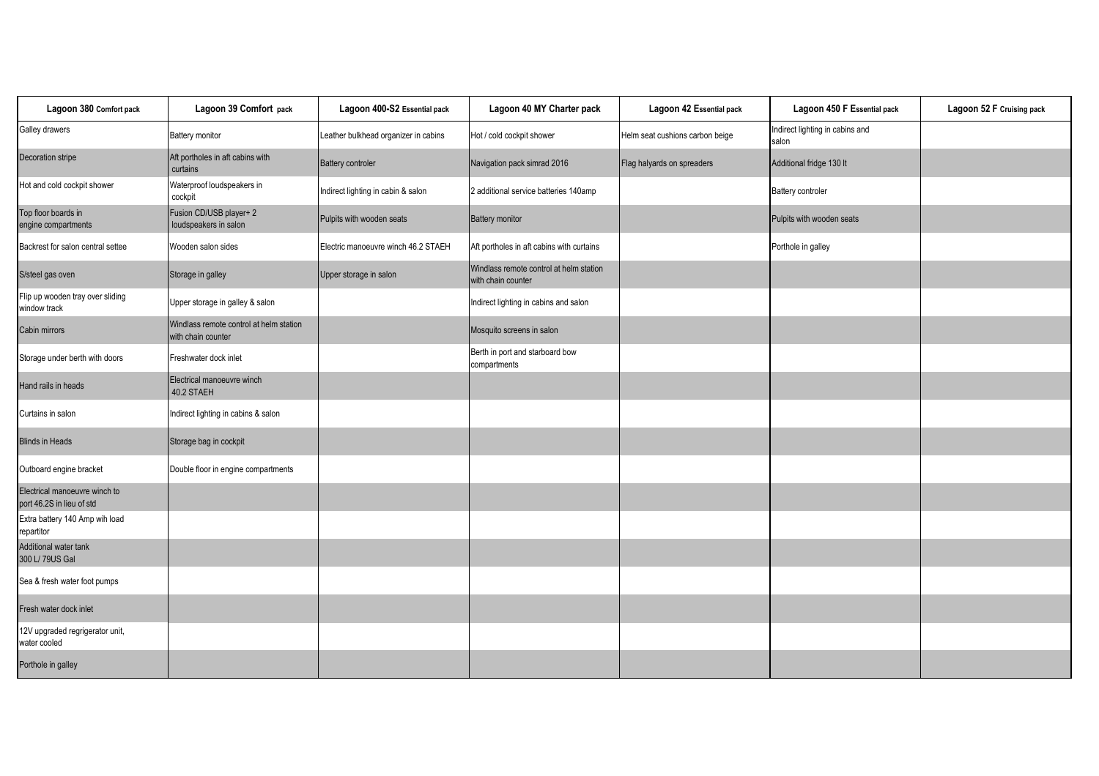| Lagoon 380 Comfort pack                                    | Lagoon 39 Comfort pack                                        | Lagoon 400-S2 Essential pack         | Lagoon 40 MY Charter pack                                     | Lagoon 42 Essential pack        | Lagoon 450 F Essential pack              | Lagoon 52 F Cruising pack |
|------------------------------------------------------------|---------------------------------------------------------------|--------------------------------------|---------------------------------------------------------------|---------------------------------|------------------------------------------|---------------------------|
| Galley drawers                                             | Battery monitor                                               | Leather bulkhead organizer in cabins | Hot / cold cockpit shower                                     | Helm seat cushions carbon beige | Indirect lighting in cabins and<br>salon |                           |
| Decoration stripe                                          | Aft portholes in aft cabins with<br>curtains                  | <b>Battery controler</b>             | Navigation pack simrad 2016                                   | Flag halyards on spreaders      | Additional fridge 130 lt                 |                           |
| Hot and cold cockpit shower                                | Waterproof loudspeakers in<br>cockpit                         | Indirect lighting in cabin & salon   | 2 additional service batteries 140amp                         |                                 | Battery controler                        |                           |
| Top floor boards in<br>engine compartments                 | Fusion CD/USB player+ 2<br>loudspeakers in salon              | Pulpits with wooden seats            | <b>Battery monitor</b>                                        |                                 | Pulpits with wooden seats                |                           |
| Backrest for salon central settee                          | Wooden salon sides                                            | Electric manoeuvre winch 46.2 STAEH  | Aft portholes in aft cabins with curtains                     |                                 | Porthole in galley                       |                           |
| S/steel gas oven                                           | Storage in galley                                             | Upper storage in salon               | Windlass remote control at helm station<br>with chain counter |                                 |                                          |                           |
| Flip up wooden tray over sliding<br>window track           | Upper storage in galley & salon                               |                                      | Indirect lighting in cabins and salon                         |                                 |                                          |                           |
| Cabin mirrors                                              | Windlass remote control at helm station<br>with chain counter |                                      | Mosquito screens in salon                                     |                                 |                                          |                           |
| Storage under berth with doors                             | Freshwater dock inlet                                         |                                      | Berth in port and starboard bow<br>compartments               |                                 |                                          |                           |
| Hand rails in heads                                        | Electrical manoeuvre winch<br>40.2 STAEH                      |                                      |                                                               |                                 |                                          |                           |
| Curtains in salon                                          | Indirect lighting in cabins & salon                           |                                      |                                                               |                                 |                                          |                           |
| <b>Blinds in Heads</b>                                     | Storage bag in cockpit                                        |                                      |                                                               |                                 |                                          |                           |
| Outboard engine bracket                                    | Double floor in engine compartments                           |                                      |                                                               |                                 |                                          |                           |
| Electrical manoeuvre winch to<br>port 46.2S in lieu of std |                                                               |                                      |                                                               |                                 |                                          |                           |
| Extra battery 140 Amp wih load<br>repartitor               |                                                               |                                      |                                                               |                                 |                                          |                           |
| Additional water tank<br>300 L/ 79US Gal                   |                                                               |                                      |                                                               |                                 |                                          |                           |
| Sea & fresh water foot pumps                               |                                                               |                                      |                                                               |                                 |                                          |                           |
| Fresh water dock inlet                                     |                                                               |                                      |                                                               |                                 |                                          |                           |
| 12V upgraded regrigerator unit,<br>water cooled            |                                                               |                                      |                                                               |                                 |                                          |                           |
| Porthole in galley                                         |                                                               |                                      |                                                               |                                 |                                          |                           |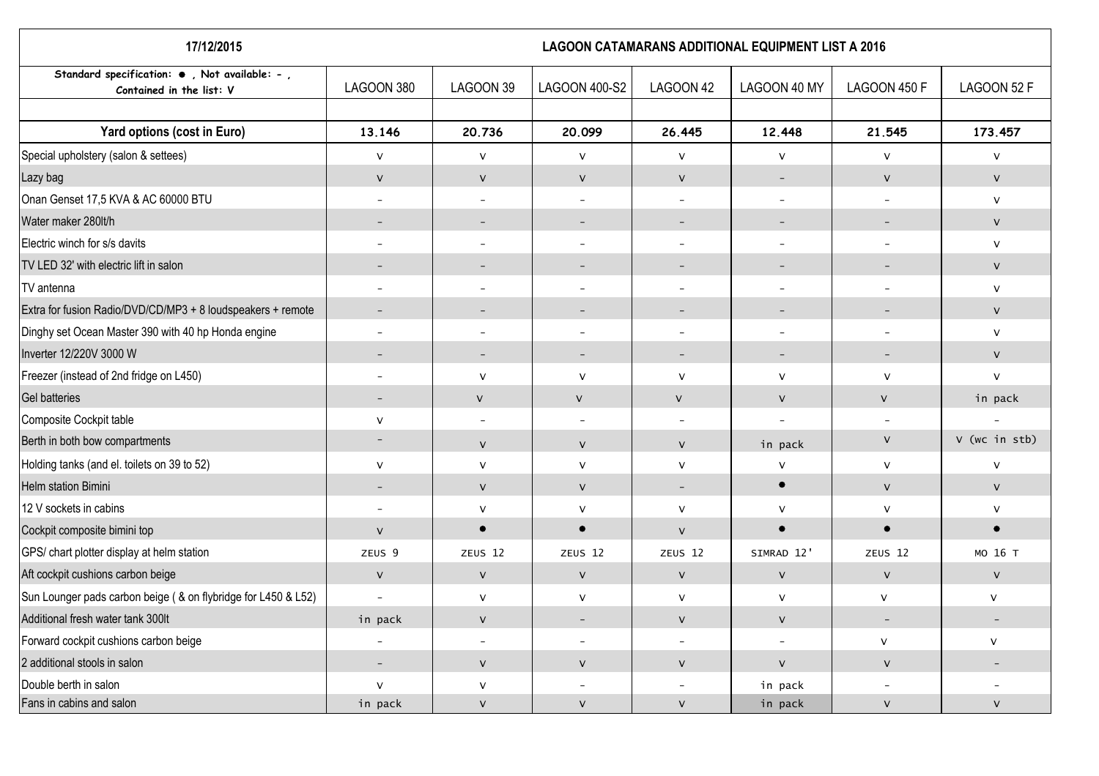| 17/12/2015                                                                        | <b>LAGOON CATAMARANS ADDITIONAL EQUIPMENT LIST A 2016</b> |                          |                          |                          |                          |                          |                          |
|-----------------------------------------------------------------------------------|-----------------------------------------------------------|--------------------------|--------------------------|--------------------------|--------------------------|--------------------------|--------------------------|
| Standard specification: $\bullet$ , Not available: -,<br>Contained in the list: V | LAGOON 380                                                | LAGOON 39                | LAGOON 400-S2            | LAGOON 42                | LAGOON 40 MY             | LAGOON 450 F             | LAGOON 52 F              |
| Yard options (cost in Euro)                                                       | 13.146                                                    | 20.736                   | 20.099                   | 26.445                   | 12.448                   | 21.545                   | 173.457                  |
| Special upholstery (salon & settees)                                              | $\vee$                                                    | $\mathsf{V}$             | $\mathsf{V}$             | $\vee$                   | $\mathsf{V}$             | $\vee$                   | $\mathsf{V}$             |
| Lazy bag                                                                          | $\mathsf{V}$                                              | $\mathsf{V}$             | $\mathsf{V}$             | $\mathsf{V}$             | $\equiv$                 | $\mathsf{V}$             | ${\sf V}$                |
| Onan Genset 17,5 KVA & AC 60000 BTU                                               | $\overline{\phantom{a}}$                                  | $\overline{\phantom{a}}$ | $\overline{\phantom{a}}$ | $\overline{\phantom{a}}$ | $\overline{\phantom{a}}$ | $\overline{\phantom{a}}$ | $\mathsf{V}$             |
| Water maker 280lt/h                                                               | $\overline{\phantom{a}}$                                  | $\overline{\phantom{a}}$ | $\overline{\phantom{a}}$ | $\overline{\phantom{0}}$ | $\overline{\phantom{a}}$ |                          | $\mathsf{V}$             |
| Electric winch for s/s davits                                                     | $\overline{\phantom{0}}$                                  | $\overline{\phantom{0}}$ |                          | $\overline{\phantom{0}}$ | $\overline{\phantom{0}}$ |                          | $\vee$                   |
| TV LED 32' with electric lift in salon                                            | $\overline{\phantom{a}}$                                  | $\overline{\phantom{a}}$ |                          | $\qquad \qquad -$        | $\overline{\phantom{a}}$ |                          | $\mathsf{V}$             |
| TV antenna                                                                        | $\overline{\phantom{a}}$                                  | $\overline{\phantom{a}}$ | $\overline{\phantom{0}}$ | $\qquad \qquad -$        | $\overline{\phantom{a}}$ | $\overline{\phantom{a}}$ | $\mathsf{V}$             |
| Extra for fusion Radio/DVD/CD/MP3 + 8 loudspeakers + remote                       | $\overline{\phantom{a}}$                                  | $\overline{\phantom{a}}$ | $\overline{\phantom{a}}$ | $\overline{\phantom{a}}$ | $\overline{\phantom{a}}$ | $\overline{\phantom{m}}$ | $\mathsf{V}$             |
| Dinghy set Ocean Master 390 with 40 hp Honda engine                               | $\overline{\phantom{a}}$                                  | $\overline{\phantom{a}}$ | $\overline{\phantom{a}}$ | $\overline{\phantom{0}}$ | $\overline{\phantom{a}}$ | $\overline{\phantom{a}}$ | $\mathsf{V}$             |
| Inverter 12/220V 3000 W                                                           |                                                           | $\overline{\phantom{a}}$ | $\overline{\phantom{a}}$ | $\overline{\phantom{a}}$ | $\overline{\phantom{a}}$ |                          | $\vee$                   |
| Freezer (instead of 2nd fridge on L450)                                           |                                                           | $\mathsf{V}$             | $\mathsf{V}$             | $\mathsf{V}$             | ${\sf V}$                | $\sf V$                  | $\mathsf{V}$             |
| <b>Gel batteries</b>                                                              | $\overline{\phantom{a}}$                                  | $\mathsf{V}$             | $\mathsf{V}$             | $\mathsf{V}$             | $\mathsf V$              | $\mathsf{V}$             | in pack                  |
| Composite Cockpit table                                                           | $\mathsf{V}$                                              | $\overline{\phantom{a}}$ |                          |                          | $\overline{\phantom{0}}$ |                          |                          |
| Berth in both bow compartments                                                    | $\overline{\phantom{a}}$                                  | $\vee$                   | $\mathsf{V}$             | V                        | in pack                  | V                        | V (wc in stb)            |
| Holding tanks (and el. toilets on 39 to 52)                                       | $\mathsf{V}$                                              | $\mathsf{V}$             | $\vee$                   | $\mathsf{V}$             | $\mathsf{V}$             | v                        | $\vee$                   |
| Helm station Bimini                                                               | $\overline{\phantom{a}}$                                  | $\vee$                   | $\mathsf{V}$             | $\overline{\phantom{a}}$ | $\bullet$                | $\vee$                   | $\vee$                   |
| 12 V sockets in cabins                                                            | $\overline{\phantom{a}}$                                  | $\mathsf{V}$             | V                        | V                        | ${\sf V}$                | $\sf V$                  | $\mathsf{V}$             |
| Cockpit composite bimini top                                                      | $\mathsf{V}$                                              | $\bullet$                | $\bullet$                | $\vee$                   | $\bullet$                | $\bullet$                | $\bullet$                |
| GPS/ chart plotter display at helm station                                        | ZEUS <sub>9</sub>                                         | ZEUS <sub>12</sub>       | ZEUS <sub>12</sub>       | ZEUS <sub>12</sub>       | SIMRAD 12'               | ZEUS <sub>12</sub>       | MO 16 T                  |
| Aft cockpit cushions carbon beige                                                 | $\vee$                                                    | $\mathsf{V}$             | $\mathsf{V}$             | $\mathsf{V}$             | $\mathsf{V}$             | $\mathsf{V}$             | ${\sf V}$                |
| Sun Lounger pads carbon beige ( & on flybridge for L450 & L52)                    | $\overline{a}$                                            | $\mathsf{V}$             | V                        | $\vee$                   | ${\sf V}$                | $\mathsf{V}$             | ${\sf V}$                |
| Additional fresh water tank 300lt                                                 | in pack                                                   | $\mathsf{V}$             | $\overline{\phantom{a}}$ | V                        | $\mathsf{V}$             | $\overline{\phantom{a}}$ | $\overline{\phantom{a}}$ |
| Forward cockpit cushions carbon beige                                             |                                                           | $\overline{\phantom{a}}$ | $\overline{\phantom{0}}$ |                          | $\overline{\phantom{a}}$ | $\mathsf{V}$             | $\vee$                   |
| 2 additional stools in salon                                                      | $\overline{\phantom{a}}$                                  | $\mathsf{V}$             | $\mathsf{V}$             | V                        | ${\sf V}$                | $\mathsf{V}$             | $\overline{\phantom{0}}$ |
| Double berth in salon                                                             | $\vee$                                                    | $\mathsf{V}$             |                          |                          | in pack                  |                          |                          |
| Fans in cabins and salon                                                          | in pack                                                   | $\vee$                   | $\vee$                   | V                        | in pack                  | $\vee$                   | $\vee$                   |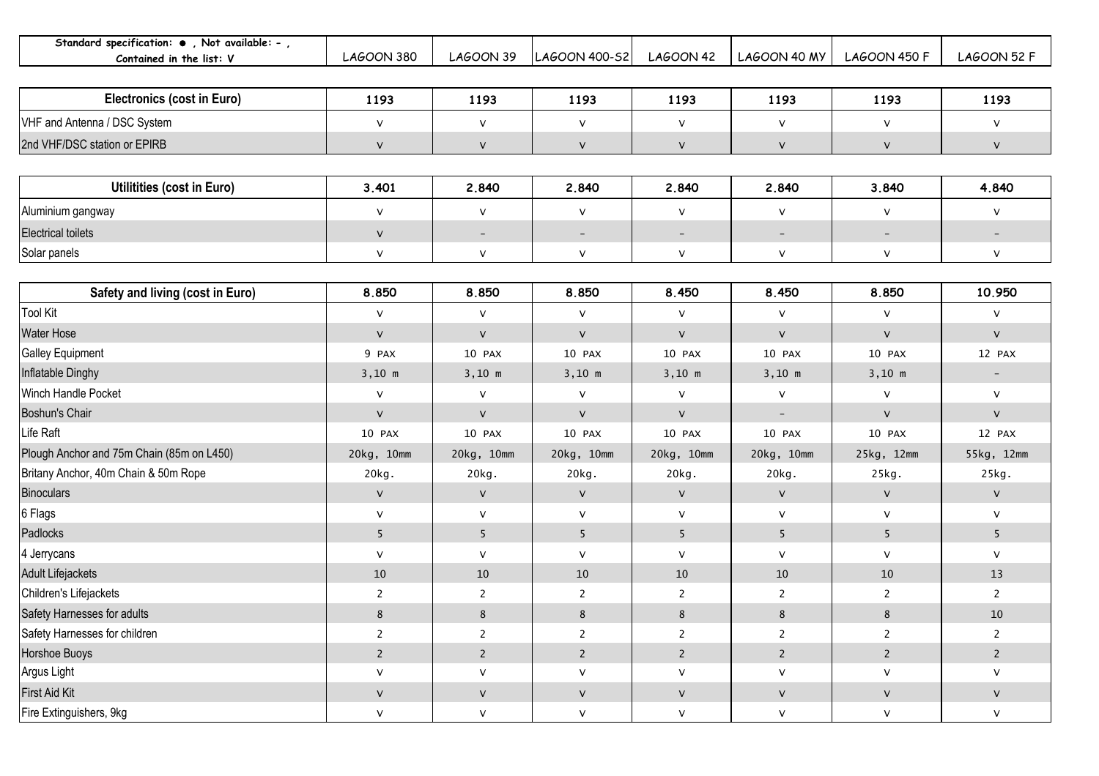| Standard specification: . Not available: - ,<br>Contained in the list: V | <b>LAGOON 380</b> | <b>LAGOON 39</b>         | LAGOON 400-S2            | <b>LAGOON 42</b>         | LAGOON 40 MY             | <b>LAGOON 450 F</b>      | <b>LAGOON 52 F</b>       |
|--------------------------------------------------------------------------|-------------------|--------------------------|--------------------------|--------------------------|--------------------------|--------------------------|--------------------------|
|                                                                          |                   |                          |                          |                          |                          |                          |                          |
| <b>Electronics (cost in Euro)</b>                                        | 1193              | 1193                     | 1193                     | 1193                     | 1193                     | 1193                     | 1193                     |
| VHF and Antenna / DSC System                                             | $\mathsf{V}$      | ${\sf V}$                | ${\sf V}$                | $\mathsf{V}$             | ${\sf V}$                | ${\sf V}$                | ${\sf V}$                |
| 2nd VHF/DSC station or EPIRB                                             | $\mathsf{V}$      | $\mathsf{V}$             | $\mathsf{V}$             | V                        | ${\sf V}$                | $\sf V$                  | $\vee$                   |
|                                                                          |                   |                          |                          |                          |                          |                          |                          |
| Utilitities (cost in Euro)                                               | 3.401             | 2.840                    | 2.840                    | 2.840                    | 2.840                    | 3.840                    | 4.840                    |
| Aluminium gangway                                                        | $\mathsf{V}$      | $\mathsf{V}$             | ${\sf V}$                | $\mathsf{V}$             | ${\sf V}$                | ${\sf V}$                | $\vee$                   |
| <b>Electrical toilets</b>                                                | $\mathsf{V}$      | $\overline{\phantom{a}}$ | $\overline{\phantom{a}}$ | $\overline{\phantom{a}}$ | $\overline{\phantom{a}}$ | $\overline{\phantom{a}}$ | $\overline{\phantom{a}}$ |
| Solar panels                                                             | V                 | $\mathsf{V}$             | ${\sf V}$                | V                        | V                        | V                        | V                        |
|                                                                          |                   |                          |                          |                          |                          |                          |                          |
| Safety and living (cost in Euro)                                         | 8.850             | 8.850                    | 8.850                    | 8.450                    | 8.450                    | 8.850                    | 10.950                   |
| <b>Tool Kit</b>                                                          | $\mathsf{V}$      | $\mathsf{V}$             | $\mathsf{v}$             | $\mathsf{V}$             | $\vee$                   | $\mathsf{V}$             | $\vee$                   |
| <b>Water Hose</b>                                                        | $\mathsf{V}$      | $\mathsf{V}$             | $\mathsf{V}$             | V                        | $\mathsf{V}$             | $\vee$                   | $\vee$                   |
| <b>Galley Equipment</b>                                                  | 9 PAX             | 10 PAX                   | 10 PAX                   | 10 PAX                   | 10 PAX                   | 10 PAX                   | 12 PAX                   |
| Inflatable Dinghy                                                        | $3,10$ m          | $3,10$ m                 | $3,10$ m                 | $3,10$ m                 | $3,10$ m                 | $3,10$ m                 | $\overline{\phantom{a}}$ |
| Winch Handle Pocket                                                      | $\sf V$           | $\mathsf{V}$             | $\mathsf{V}$             | V                        | ${\sf V}$                | $\mathsf{V}$             | $\vee$                   |
| Boshun's Chair                                                           | $\mathsf{V}$      | $\vee$                   | $\mathsf{V}$             | V                        | $\overline{\phantom{a}}$ | $\vee$                   | $\vee$                   |
| Life Raft                                                                | 10 PAX            | 10 PAX                   | 10 PAX                   | 10 PAX                   | 10 PAX                   | 10 PAX                   | 12 PAX                   |
| Plough Anchor and 75m Chain (85m on L450)                                | 20kg, 10mm        | 20kg, 10mm               | 20kg, 10mm               | 20kg, 10mm               | 20kg, 10mm               | 25kg, 12mm               | 55kg, 12mm               |
| Britany Anchor, 40m Chain & 50m Rope                                     | 20kg.             | 20kg.                    | 20kg.                    | 20kg.                    | 20kg.                    | 25kg.                    | 25kg.                    |
| <b>Binoculars</b>                                                        | $\mathsf{V}$      | $\mathsf{V}$             | $\mathsf{V}$             | V                        | $\mathsf{V}$             | $\mathsf{V}$             | ${\sf V}$                |
| 6 Flags                                                                  | V                 | $\mathsf{V}$             | $\vee$                   | $\vee$                   | $\mathsf{V}$             | $\vee$                   | $\vee$                   |
| Padlocks                                                                 | 5 <sup>5</sup>    | 5                        | 5                        | 5                        | 5                        | 5                        | 5                        |
| 4 Jerrycans                                                              | $\mathsf{V}$      | $\vee$                   | $\mathsf{V}$             | V                        | ${\sf V}$                | $\mathsf{V}$             | ${\sf V}$                |
| Adult Lifejackets                                                        | 10                | 10                       | 10                       | 10                       | 10                       | 10                       | 13                       |
| Children's Lifejackets                                                   | $\overline{2}$    | $\overline{2}$           | $\mathbf{2}$             | $\overline{2}$           | $\overline{2}$           | $\overline{2}$           | 2                        |
| Safety Harnesses for adults                                              | 8                 | 8                        | 8                        | 8                        | 8                        | 8                        | 10                       |
| Safety Harnesses for children                                            | $\overline{2}$    | $\overline{2}$           | $\overline{2}$           | $\overline{2}$           | $\overline{2}$           | $\overline{2}$           | $\overline{2}$           |
| Horshoe Buoys                                                            | $\overline{2}$    | $\overline{2}$           | $2\overline{ }$          | $\overline{2}$           | $\overline{2}$           | $2^{\circ}$              | $2^{\circ}$              |
| Argus Light                                                              | $\mathsf{V}$      | $\mathsf{V}$             | $\mathsf{V}$             | V                        | V                        | $\sf{V}$                 | ${\sf V}$                |
| First Aid Kit                                                            | $\mathsf{V}$      | $\mathsf{V}$             | $\mathsf{V}$             | $\mathsf{V}$             | $\mathsf{V}$             | $\mathsf{V}$             | $\mathsf{V}$             |
| Fire Extinguishers, 9kg                                                  | V                 | $\mathsf{V}$             | ${\sf V}$                | ${\sf V}$                | ${\sf V}$                | $\mathsf{V}$             | ${\sf V}$                |